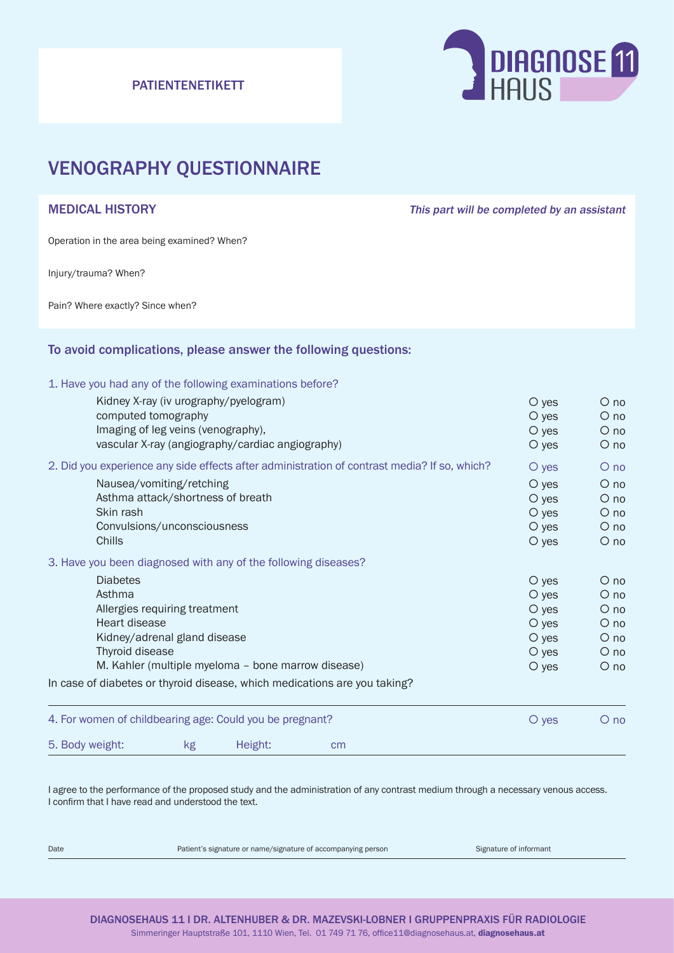# PATIENTENETIKETT



# VENOGRAPHY QUESTIONNAIRE

MEDICAL HISTORY **This part will be completed by an assistant** 

Operation in the area being examined? When?

Injury/trauma? When?

Pain? Where exactly? Since when?

# To avoid complications, please answer the following questions:

### 1. Have you had any of the following examinations before?

| 5. Body weight:                                                                              |                                                                           | kg | Height: |  | cm |         |             |            |
|----------------------------------------------------------------------------------------------|---------------------------------------------------------------------------|----|---------|--|----|---------|-------------|------------|
| 4. For women of childbearing age: Could you be pregnant?                                     |                                                                           |    |         |  |    | $O$ yes | $O$ no      |            |
|                                                                                              | In case of diabetes or thyroid disease, which medications are you taking? |    |         |  |    |         |             |            |
|                                                                                              | M. Kahler (multiple myeloma - bone marrow disease)                        |    |         |  |    |         | $\circ$ yes | $\circ$ no |
|                                                                                              | Thyroid disease                                                           |    |         |  |    |         | $O$ yes     | $O$ no     |
|                                                                                              | Kidney/adrenal gland disease                                              |    |         |  |    |         | $O$ yes     | $O$ no     |
|                                                                                              | Heart disease                                                             |    |         |  |    |         | $O$ yes     | $\circ$ no |
|                                                                                              | Allergies requiring treatment                                             |    |         |  |    |         | $O$ yes     | $O$ no     |
|                                                                                              | Asthma                                                                    |    |         |  |    |         | $O$ yes     | $\circ$ no |
|                                                                                              | <b>Diabetes</b>                                                           |    |         |  |    |         | $\circ$ yes | $O$ no     |
|                                                                                              | 3. Have you been diagnosed with any of the following diseases?            |    |         |  |    |         |             |            |
|                                                                                              | Chills                                                                    |    |         |  |    |         | $\circ$ yes | $O$ no     |
|                                                                                              | Convulsions/unconsciousness                                               |    |         |  |    |         | $O$ yes     | $O$ no     |
|                                                                                              | Skin rash                                                                 |    |         |  |    |         | $O$ yes     | $O$ no     |
|                                                                                              | Asthma attack/shortness of breath                                         |    |         |  |    |         | $O$ yes     | $O$ no     |
|                                                                                              | Nausea/vomiting/retching                                                  |    |         |  |    |         | $O$ yes     | $\circ$ no |
| 2. Did you experience any side effects after administration of contrast media? If so, which? |                                                                           |    |         |  |    | $O$ yes | $O$ no      |            |
|                                                                                              | vascular X-ray (angiography/cardiac angiography)                          |    |         |  |    |         | $\circ$ yes | $O$ no     |
|                                                                                              | Imaging of leg veins (venography),                                        |    |         |  |    |         | $O$ yes     | $O$ no     |
|                                                                                              | computed tomography                                                       |    |         |  |    |         | $\circ$ yes | $O$ no     |
|                                                                                              | Kidney X-ray (iv urography/pyelogram)                                     |    |         |  |    |         | $\circ$ yes | $O$ no     |

I agree to the performance of the proposed study and the administration of any contrast medium through a necessary venous access. I confirm that I have read and understood the text.

Date **Patient's signature or name/signature of accompanying person** Signature of informant